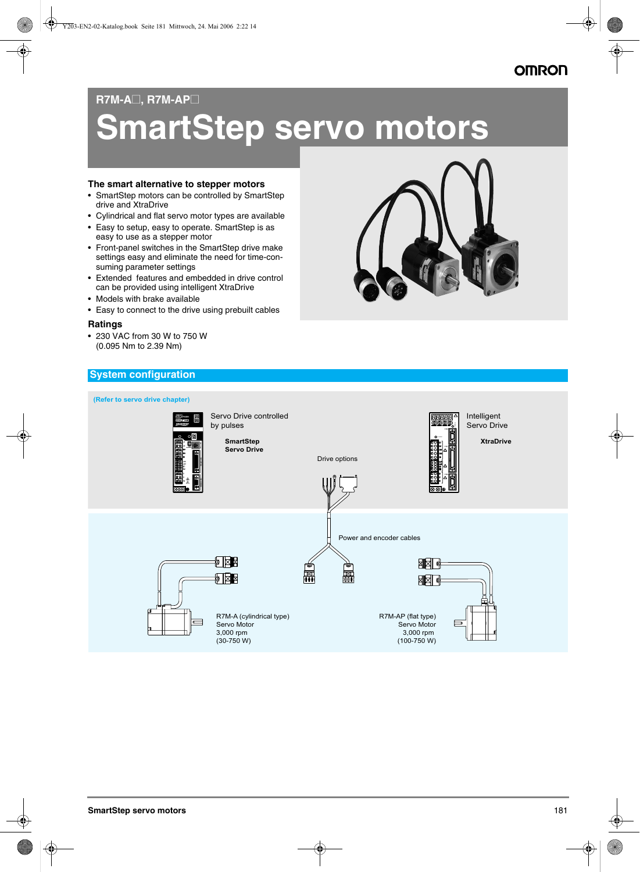## **OMRON**

#### **R7M-A**@**, R7M-AP**@

# **SmartStep servo motors**

#### **The smart alternative to stepper motors**

- SmartStep motors can be controlled by SmartStep drive and XtraDrive
- Cylindrical and flat servo motor types are available
- Easy to setup, easy to operate. SmartStep is as easy to use as a stepper motor
- Front-panel switches in the SmartStep drive make settings easy and eliminate the need for time-consuming parameter settings
- Extended features and embedded in drive control can be provided using intelligent XtraDrive
- Models with brake available
- Easy to connect to the drive using prebuilt cables

#### **Ratings**

• 230 VAC from 30 W to 750 W (0.095 Nm to 2.39 Nm)



### **System configuration**

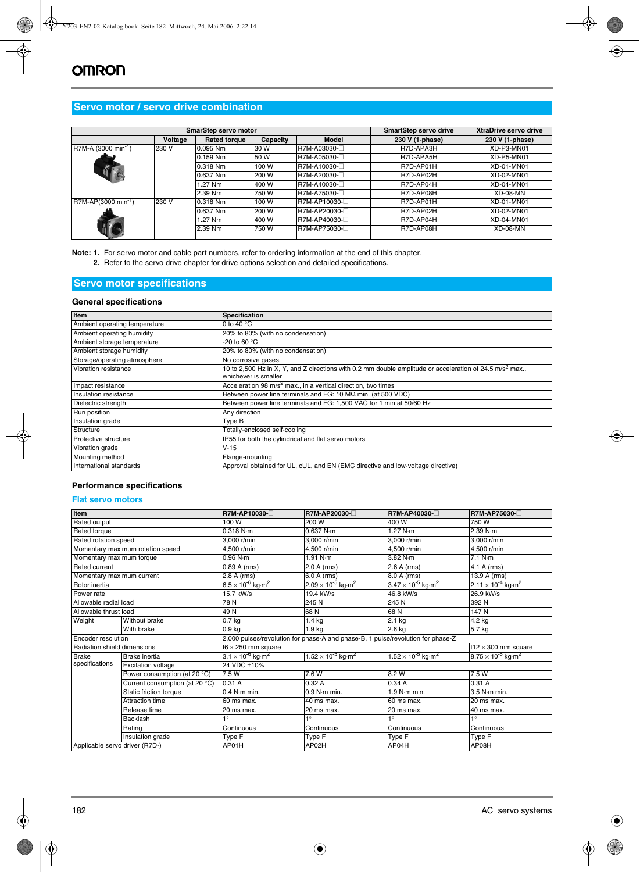#### **Servo motor / servo drive combination**

|                                 |         | SmarStep servo motor | <b>SmartStep servo drive</b> | <b>XtraDrive servo drive</b> |                 |                 |
|---------------------------------|---------|----------------------|------------------------------|------------------------------|-----------------|-----------------|
|                                 | Voltage | <b>Rated torque</b>  | Capacity                     | <b>Model</b>                 | 230 V (1-phase) | 230 V (1-phase) |
| R7M-A (3000 min <sup>-1</sup> ) | 230 V   | $0.095$ Nm           | 30 W                         | R7M-A03030-□                 | R7D-APA3H       | XD-P3-MN01      |
|                                 |         | 0.159 Nm             | 50 W                         | R7M-A05030-□                 | R7D-APA5H       | XD-P5-MN01      |
|                                 |         | 0.318 Nm             | 100 W                        | R7M-A10030-□                 | R7D-AP01H       | XD-01-MN01      |
|                                 |         | 0.637 Nm             | 200 W                        | R7M-A20030-□                 | R7D-AP02H       | XD-02-MN01      |
|                                 |         | 1.27 Nm              | 400 W                        | R7M-A40030-□                 | R7D-AP04H       | XD-04-MN01      |
|                                 |         | 2.39 Nm              | 750 W                        | R7M-A75030-□                 | R7D-AP08H       | XD-08-MN        |
| $R7M-AP(3000 min^{-1})$         | 230 V   | 0.318 Nm             | 100 W                        | R7M-AP10030-□                | R7D-AP01H       | XD-01-MN01      |
|                                 |         | 0.637 Nm             | 200 W                        | R7M-AP20030-                 | R7D-AP02H       | XD-02-MN01      |
|                                 |         | 1.27 Nm              | 400 W                        | R7M-AP40030-                 | R7D-AP04H       | XD-04-MN01      |
|                                 |         | 2.39 Nm              | 750 W                        | R7M-AP75030-                 | R7D-AP08H       | XD-08-MN        |

**Note: 1.** For servo motor and cable part numbers, refer to ordering information at the end of this chapter. **2.** Refer to the servo drive chapter for drive options selection and detailed specifications.

#### **Servo motor specifications**

#### **General specifications**

| <b>Item</b>                                                                                                                                                          | <b>Specification</b>                                                |  |  |  |
|----------------------------------------------------------------------------------------------------------------------------------------------------------------------|---------------------------------------------------------------------|--|--|--|
| Ambient operating temperature                                                                                                                                        | 0 to 40 $\degree$ C                                                 |  |  |  |
| 20% to 80% (with no condensation)<br>Ambient operating humidity                                                                                                      |                                                                     |  |  |  |
| Ambient storage temperature                                                                                                                                          | -20 to 60 °C                                                        |  |  |  |
| Ambient storage humidity                                                                                                                                             | 20% to 80% (with no condensation)                                   |  |  |  |
| Storage/operating atmosphere                                                                                                                                         | No corrosive gases.                                                 |  |  |  |
| 10 to 2,500 Hz in X, Y, and Z directions with 0.2 mm double amplitude or acceleration of 24.5 m/s <sup>2</sup> max.,<br>Vibration resistance<br>whichever is smaller |                                                                     |  |  |  |
| Acceleration 98 $m/s2$ max., in a vertical direction, two times<br>Impact resistance                                                                                 |                                                                     |  |  |  |
| Insulation resistance                                                                                                                                                | Between power line terminals and FG: 10 $M\Omega$ min. (at 500 VDC) |  |  |  |
| Between power line terminals and FG: 1,500 VAC for 1 min at 50/60 Hz<br>Dielectric strength                                                                          |                                                                     |  |  |  |
| Run position                                                                                                                                                         | Any direction                                                       |  |  |  |
| Insulation grade<br>Type B                                                                                                                                           |                                                                     |  |  |  |
| Totally-enclosed self-cooling<br>Structure                                                                                                                           |                                                                     |  |  |  |
| Protective structure                                                                                                                                                 | IP55 for both the cylindrical and flat servo motors                 |  |  |  |
| Vibration grade                                                                                                                                                      | $V-15$                                                              |  |  |  |
| Mounting method                                                                                                                                                      | Flange-mounting                                                     |  |  |  |
| Approval obtained for UL, cUL, and EN (EMC directive and low-voltage directive)<br>International standards                                                           |                                                                     |  |  |  |

#### **Performance specifications**

#### **Flat servo motors**

| Item                           |                                  | R7M-AP10030-                                                                    | R7M-AP20030-□                           | R7M-AP40030-□                           | <b>R7M-AP75030-</b> □                   |  |  |  |
|--------------------------------|----------------------------------|---------------------------------------------------------------------------------|-----------------------------------------|-----------------------------------------|-----------------------------------------|--|--|--|
| Rated output                   |                                  | 100 W                                                                           | 200 W                                   | 400 W                                   | 750 W                                   |  |  |  |
| Rated torque                   |                                  | 0.318 N·m                                                                       | 0.637 N·m                               | 1.27 N·m                                | 2.39 N·m                                |  |  |  |
| Rated rotation speed           |                                  | 3.000 r/min                                                                     | 3.000 r/min                             | 3.000 r/min                             | 3.000 r/min                             |  |  |  |
|                                | Momentary maximum rotation speed | 4.500 r/min                                                                     | 4.500 r/min                             | 4.500 r/min                             |                                         |  |  |  |
| Momentary maximum torque       |                                  | 0.96 N·m                                                                        | 1.91 $N·m$                              | 3.82 N m                                | 7.1 N·m                                 |  |  |  |
| Rated current                  |                                  | 0.89 A (rms)                                                                    | 2.0 A (rms)                             | 2.6 A (rms)                             | $4.1 A$ (rms)                           |  |  |  |
| Momentary maximum current      |                                  | 2.8 A (rms)                                                                     | 6.0 A (rms)                             | 8.0 A (rms)                             | 13.9 A (rms)                            |  |  |  |
| Rotor inertia                  |                                  | $6.5 \times 10^{-6}$ kg·m <sup>2</sup>                                          | $2.09 \times 10^{-5}$ kg·m <sup>2</sup> | $3.47 \times 10^{-5}$ kg m <sup>2</sup> | $2.11 \times 10^{-4}$ kg·m <sup>2</sup> |  |  |  |
| Power rate                     |                                  | 15.7 kW/s                                                                       | 19.4 kW/s                               | 46.8 kW/s                               | 26.9 kW/s                               |  |  |  |
| Allowable radial load          |                                  | 78N                                                                             | 245 N                                   | 245 N                                   | 392 N                                   |  |  |  |
| Allowable thrust load          |                                  | 49N                                                                             | 68N                                     | 68N                                     | 147 N                                   |  |  |  |
| Weight                         | Without brake                    | $0.7$ kg                                                                        | 1.4 kg                                  | $2.1$ kg                                | 4.2 kg                                  |  |  |  |
|                                | With brake                       | 0.9 kg                                                                          | 1.9 kg                                  | 2.6 kg                                  | $\overline{5.7}$ kg                     |  |  |  |
| Encoder resolution             |                                  | 2,000 pulses/revolution for phase-A and phase-B, 1 pulse/revolution for phase-Z |                                         |                                         |                                         |  |  |  |
| Radiation shield dimensions    |                                  | t12 $\times$ 300 mm square<br>t6 $\times$ 250 mm square                         |                                         |                                         |                                         |  |  |  |
| <b>Brake</b>                   | <b>Brake</b> inertia             | $3.1 \times 10^{-6}$ kg m <sup>2</sup>                                          | $1.52 \times 10^{-5}$ kg·m <sup>2</sup> | $1.52 \times 10^{-5}$ kg m <sup>2</sup> | $8.75 \times 10^{-5}$ kg m <sup>2</sup> |  |  |  |
| specifications                 | <b>Excitation voltage</b>        | 24 VDC ±10%                                                                     |                                         |                                         |                                         |  |  |  |
|                                | Power consumption (at 20 °C)     | 7.5 W                                                                           | 7.6 W                                   | 8.2 W                                   | 7.5 W                                   |  |  |  |
|                                | Current consumption (at 20 °C)   | 0.31A                                                                           | 0.32A                                   | 0.34A                                   | 0.31A                                   |  |  |  |
|                                | <b>Static friction torque</b>    | $0.4$ N $\cdot$ m min.                                                          | 0.9 N·m min.                            | $1.9$ N $\cdot$ m min.                  | 3.5 N·m min.                            |  |  |  |
|                                | Attraction time                  | 60 ms max.                                                                      | 40 ms max.                              | 60 ms max.                              | 20 ms max.                              |  |  |  |
|                                | Release time                     | 20 ms max.                                                                      | 20 ms max.                              | 20 ms max.                              | 40 ms max.                              |  |  |  |
|                                | <b>Backlash</b>                  | $\bullet$                                                                       | $\overline{\bullet}$                    | $1^{\circ}$                             | $1^{\circ}$                             |  |  |  |
|                                | Rating                           | Continuous                                                                      | Continuous                              | Continuous                              | Continuous                              |  |  |  |
|                                | Insulation grade                 | Type F                                                                          | Type F                                  | Type F                                  | Type F                                  |  |  |  |
| Applicable servo driver (R7D-) |                                  | AP01H                                                                           | AP02H<br>AP04H                          |                                         | AP08H                                   |  |  |  |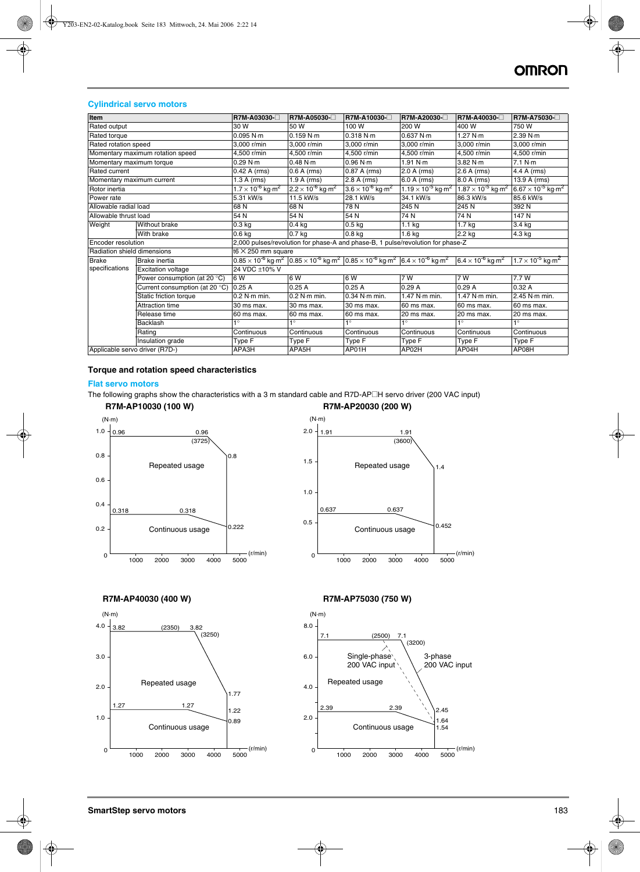#### **Cylindrical servo motors**

| Item                           |                                  | R7M-A03030-□                                                                    | R7M-A05030-□                           | R7M-A10030-□                                                                                                                                                                 | R7M-A20030- <sup>□</sup>                | R7M-A40030-□                            | R7M-A75030-□                            |  |  |
|--------------------------------|----------------------------------|---------------------------------------------------------------------------------|----------------------------------------|------------------------------------------------------------------------------------------------------------------------------------------------------------------------------|-----------------------------------------|-----------------------------------------|-----------------------------------------|--|--|
| Rated output                   |                                  | 30 W                                                                            | 50 W                                   | 100 W                                                                                                                                                                        | 200 W                                   | 400 W                                   | 750 W                                   |  |  |
| Rated torque                   |                                  | 0.095 N·m                                                                       | 0.159 N·m                              | 0.318 N·m                                                                                                                                                                    | 0.637 N·m                               | 1.27 $N·m$                              | 2.39 N·m                                |  |  |
| Rated rotation speed           |                                  | 3.000 r/min                                                                     | 3.000 r/min                            | 3.000 r/min                                                                                                                                                                  | 3.000 r/min                             | 3.000 r/min                             | 3.000 r/min                             |  |  |
|                                | Momentary maximum rotation speed | 4.500 r/min                                                                     | 4.500 r/min                            | 4.500 r/min                                                                                                                                                                  | 4.500 r/min                             | 4.500 r/min                             | 4.500 r/min                             |  |  |
| Momentary maximum torque       |                                  | 0.29 N·m                                                                        | 0.48 N·m                               | 0.96 N·m                                                                                                                                                                     | 1.91 N·m                                | 3.82 N·m                                | 7.1 N·m                                 |  |  |
| Rated current                  |                                  | 0.42 A (rms)                                                                    | $0.6 A$ (rms)                          | 0.87 A (rms)                                                                                                                                                                 | 2.0 A (rms)                             | 2.6 A (rms)                             | 4.4 A (rms)                             |  |  |
| Momentary maximum current      |                                  | $1.3 A$ (rms)                                                                   | 1.9 A (rms)                            | 2.8 A (rms)                                                                                                                                                                  | 6.0 A (rms)                             | 8.0 A (rms)                             | 13.9 A (rms)                            |  |  |
| Rotor inertia                  |                                  | $1.7 \times 10^{-6}$ kg m <sup>2</sup>                                          | $2.2 \times 10^{-6}$ kg m <sup>2</sup> | $3.6 \times 10^{-6}$ kg m <sup>2</sup>                                                                                                                                       | $1.19 \times 10^{-5}$ kg m <sup>2</sup> | $1.87 \times 10^{-5}$ kg m <sup>2</sup> | $6.67 \times 10^{-5}$ kg m <sup>2</sup> |  |  |
| Power rate                     |                                  | 5.31 kW/s                                                                       | 11.5 kW/s                              | 28.1 kW/s                                                                                                                                                                    | 34.1 kW/s                               | 86.3 kW/s                               | 85.6 kW/s                               |  |  |
| Allowable radial load          |                                  | 68 N                                                                            | 68 N                                   | 78 N                                                                                                                                                                         | 245 N                                   | 245 N                                   | 392 N                                   |  |  |
| Allowable thrust load          |                                  | 54 N                                                                            | 54 N                                   | 54 N                                                                                                                                                                         | 74 N                                    | 74 N                                    | 147 N                                   |  |  |
| Weight                         | <b>Without brake</b>             | 0.3 <sub>kq</sub>                                                               | $0.4$ kg                               | 0.5 <sub>kq</sub>                                                                                                                                                            | 1.1 <sub>kg</sub>                       | 1.7 <sub>kg</sub>                       | 3.4 kg                                  |  |  |
|                                | With brake                       | 0.6 <sub>kq</sub>                                                               | $0.7$ kg                               | 0.8 <sub>kq</sub>                                                                                                                                                            | 1.6 <sub>kg</sub>                       | 2.2 kg                                  | 4.3 kg                                  |  |  |
| <b>Encoder resolution</b>      |                                  | 2,000 pulses/revolution for phase-A and phase-B, 1 pulse/revolution for phase-Z |                                        |                                                                                                                                                                              |                                         |                                         |                                         |  |  |
| Radiation shield dimensions    |                                  | t6 $\times$ 250 mm square                                                       |                                        |                                                                                                                                                                              |                                         |                                         |                                         |  |  |
| <b>Brake</b>                   | Brake inertia                    |                                                                                 |                                        | $0.85 \times 10^{5}$ kg·m <sup>2</sup> $\left[0.85 \times 10^{5}$ kg·m <sup>2</sup> $\left[0.85 \times 10^{5}$ kg·m <sup>2</sup> $\left[6.4 \times 10^{5}$ kg·m <sup>2</sup> |                                         | $6.4 \times 10^{-6}$ kg m <sup>2</sup>  | $1.7 \times 10^{-5}$ kg m <sup>2</sup>  |  |  |
| specifications                 | <b>Excitation voltage</b>        | 24 VDC ±10% V                                                                   |                                        |                                                                                                                                                                              |                                         |                                         |                                         |  |  |
|                                | Power consumption (at 20 °C)     | 6W                                                                              | 6 W                                    | 6W                                                                                                                                                                           | 7 W                                     | 7 W                                     | 7.7 W                                   |  |  |
|                                | Current consumption (at 20 °C)   | 0.25A                                                                           | 0.25A                                  | 0.25A                                                                                                                                                                        | 0.29A                                   | 0.29A                                   | 0.32A                                   |  |  |
|                                | Static friction torque           | $0.2$ N $\cdot$ m min.                                                          | $0.2$ N $\cdot$ m min.                 | 0.34 N m min.                                                                                                                                                                | 1.47 N m min.                           | $1.47$ N $m$ min.                       | 2.45 N·m min.                           |  |  |
|                                | Attraction time                  | 30 ms max.                                                                      | 30 ms max.                             | 30 ms max.                                                                                                                                                                   | 60 ms max.                              | 60 ms max.                              | 60 ms max.                              |  |  |
|                                | Release time                     | 60 ms max.                                                                      | 60 ms max.                             | 60 ms max.                                                                                                                                                                   | 20 ms max.                              | 20 ms max.                              | 20 ms max.                              |  |  |
|                                | Backlash                         | $\bullet$                                                                       | $1^{\circ}$                            | 1٥                                                                                                                                                                           | $\overline{\bullet}$                    | $\overline{\bullet}$                    | $1^{\circ}$                             |  |  |
|                                | Rating                           | Continuous                                                                      | Continuous                             | Continuous                                                                                                                                                                   | Continuous                              | Continuous                              | Continuous                              |  |  |
|                                | Insulation grade                 | Type F                                                                          | Type F                                 | Type F                                                                                                                                                                       | Type F                                  | Type F                                  | Type F                                  |  |  |
| Applicable servo driver (R7D-) |                                  | APA3H                                                                           | APA5H                                  | AP01H                                                                                                                                                                        | AP02H                                   | AP04H                                   | AP08H                                   |  |  |

#### **Torque and rotation speed characteristics**

#### **Flat servo motors**

The following graphs show the characteristics with a 3 m standard cable and R7D-AP<sup>IH</sup> servo driver (200 VAC input)



#### **R7M-AP40030 (400 W)**



#### **R7M-AP75030 (750 W)**

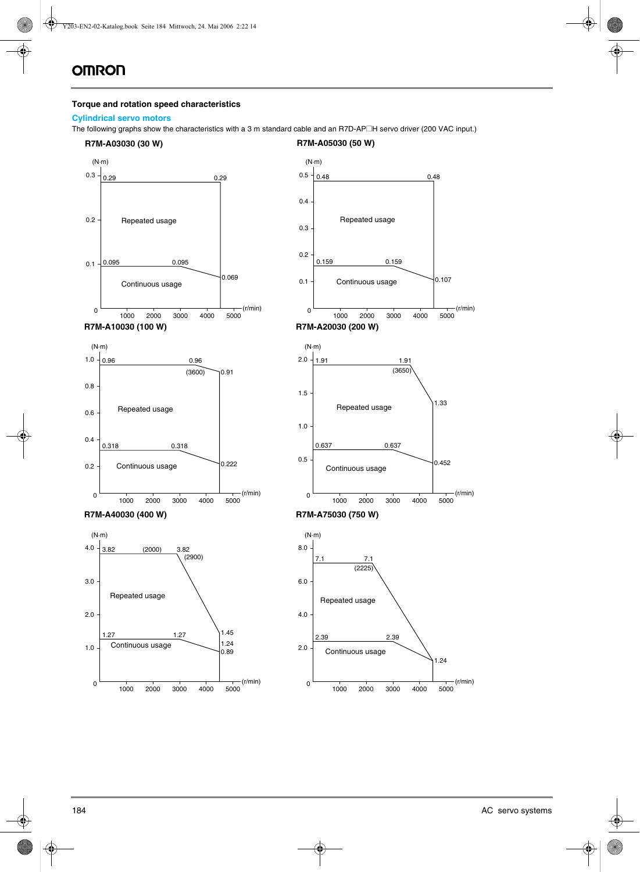#### **Torque and rotation speed characteristics**

#### **Cylindrical servo motors**

The following graphs show the characteristics with a 3 m standard cable and an R7D-AP<sup>IH</sup> servo driver (200 VAC input.)

#### **R7M-A03030 (30 W) R7M-A05030 (50 W)**

0.107

(r/min)

4000 5000

1.33

0.452

1.24

(r/min)

4000 5000

(r/min)

4000 5000

1.91

1000 2000 3000



4000 5000

(r/min)

 $\overline{0}$ 

0

1000 2000 3000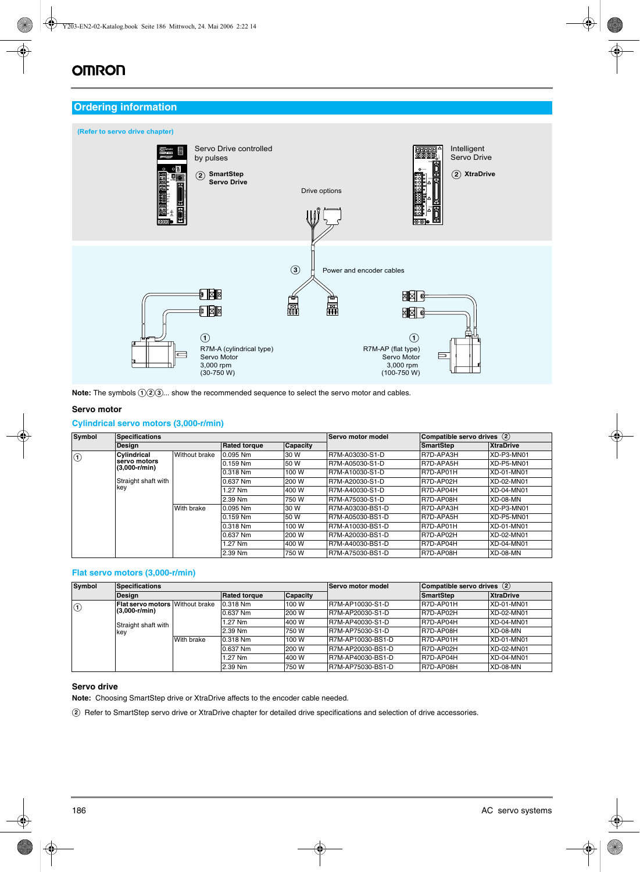# **OMRON**

#### **Ordering information**



Note: The symbols  $(1)$  ( $2)$   $(3)$ ... show the recommended sequence to select the servo motor and cables.

#### **Servo motor**

#### **Cylindrical servo motors (3,000-r/min)**

| Symbol  | <b>Specifications</b>           |               |                     |                 | <b>Servo motor model</b> |                  | Compatible servo drives (2) |  |
|---------|---------------------------------|---------------|---------------------|-----------------|--------------------------|------------------|-----------------------------|--|
|         | <b>Design</b>                   |               | <b>Rated torque</b> | <b>Capacity</b> |                          | <b>SmartStep</b> | <b>XtraDrive</b>            |  |
| $\odot$ | Cylindrical                     | Without brake | $0.095$ Nm          | 30 W            | R7M-A03030-S1-D          | R7D-APA3H        | XD-P3-MN01                  |  |
|         | servo motors<br>$(3,000-r/min)$ |               | 0.159 Nm            | 50 W            | R7M-A05030-S1-D          | R7D-APA5H        | XD-P5-MN01                  |  |
|         |                                 |               | 0.318 Nm            | 100 W           | R7M-A10030-S1-D          | R7D-AP01H        | XD-01-MN01                  |  |
|         | Straight shaft with             |               | 0.637 Nm            | 200 W           | R7M-A20030-S1-D          | R7D-AP02H        | XD-02-MN01                  |  |
|         | key                             |               | l.27 Nm             | 400 W           | R7M-A40030-S1-D          | R7D-AP04H        | XD-04-MN01                  |  |
|         |                                 |               | 2.39 Nm             | 750W            | R7M-A75030-S1-D          | R7D-AP08H        | $XD$ -08-MN                 |  |
|         |                                 | With brake    | $0.095$ Nm          | 30 W            | R7M-A03030-BS1-D         | R7D-APA3H        | XD-P3-MN01                  |  |
|         |                                 |               | 0.159 Nm            | 50 W            | R7M-A05030-BS1-D         | R7D-APA5H        | XD-P5-MN01                  |  |
|         |                                 |               | 0.318 Nm            | 100 W           | R7M-A10030-BS1-D         | R7D-AP01H        | XD-01-MN01                  |  |
|         |                                 |               | 0.637 Nm            | 200 W           | R7M-A20030-BS1-D         | R7D-AP02H        | XD-02-MN01                  |  |
|         |                                 |               | 1.27 Nm             | 400 W           | R7M-A40030-BS1-D         | R7D-AP04H        | XD-04-MN01                  |  |
|         |                                 |               | 2.39 Nm             | 750 W           | R7M-A75030-BS1-D         | R7D-AP08H        | XD-08-MN                    |  |

#### **Flat servo motors (3,000-r/min)**

| <b>Symbol</b> | <b>Specifications</b>                                     |            |                     |                 | Servo motor model | Compatible servo drives (2) |                   |
|---------------|-----------------------------------------------------------|------------|---------------------|-----------------|-------------------|-----------------------------|-------------------|
|               | <b>Design</b>                                             |            | <b>Rated torque</b> | <b>Capacity</b> |                   | <b>SmartStep</b>            | <b>XtraDrive</b>  |
| $\bigcirc$    | <b>Flat servo motors Without brake</b><br>$(3,000-r/min)$ |            | 0.318 Nm            | 100 W           | R7M-AP10030-S1-D  | R7D-AP01H                   | XD-01-MN01        |
|               |                                                           |            | 0.637 Nm            | 200 W           | R7M-AP20030-S1-D  | R7D-AP02H                   | XD-02-MN01        |
|               | Straight shaft with<br>key                                |            | 1.27 Nm             | 400 W           | R7M-AP40030-S1-D  | R7D-AP04H                   | XD-04-MN01        |
|               |                                                           |            | 2.39 Nm             | 750 W           | R7M-AP75030-S1-D  | R7D-AP08H                   | $XD-08-MN$        |
|               |                                                           | With brake | 0.318 Nm            | 100 W           | R7M-AP10030-BS1-D | R7D-AP01H                   | XD-01-MN01        |
|               |                                                           |            | 0.637 Nm            | 200 W           | R7M-AP20030-BS1-D | R7D-AP02H                   | XD-02-MN01        |
|               |                                                           |            | 1.27 Nm             | 400 W           | R7M-AP40030-BS1-D | R7D-AP04H                   | <b>XD-04-MN01</b> |
|               |                                                           |            | 2.39 Nm             | 750 W           | R7M-AP75030-BS1-D | R7D-AP08H                   | $XD-08-MN$        |

#### **Servo drive**

**Note:** Choosing SmartStep drive or XtraDrive affects to the encoder cable needed.

B Refer to SmartStep servo drive or XtraDrive chapter for detailed drive specifications and selection of drive accessories.